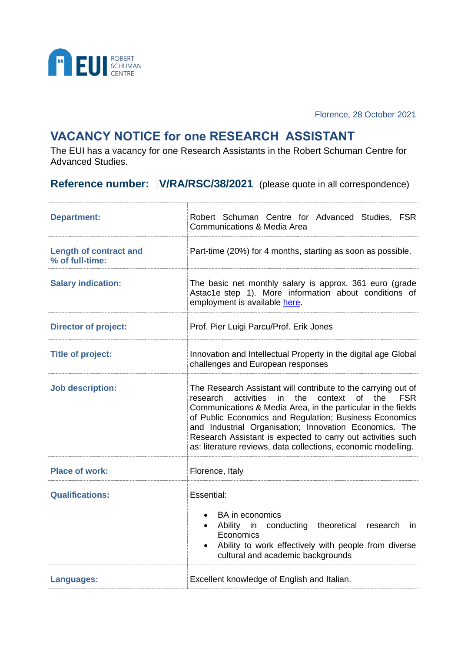

Florence, 28 October 2021

## **VACANCY NOTICE for one RESEARCH ASSISTANT**

The EUI has a vacancy for one Research Assistants in the Robert Schuman Centre for Advanced Studies.

**Reference number: V/RA/RSC/38/2021** (please quote in all correspondence)

| <b>Department:</b>                               | Robert Schuman Centre for Advanced Studies, FSR<br>Communications & Media Area                                                                                                                                                                                                                                                                                                                                                                                 |
|--------------------------------------------------|----------------------------------------------------------------------------------------------------------------------------------------------------------------------------------------------------------------------------------------------------------------------------------------------------------------------------------------------------------------------------------------------------------------------------------------------------------------|
| <b>Length of contract and</b><br>% of full-time: | Part-time (20%) for 4 months, starting as soon as possible.                                                                                                                                                                                                                                                                                                                                                                                                    |
| <b>Salary indication:</b>                        | The basic net monthly salary is approx. 361 euro (grade<br>Astac1e step 1). More information about conditions of<br>employment is available here.                                                                                                                                                                                                                                                                                                              |
| <b>Director of project:</b>                      | Prof. Pier Luigi Parcu/Prof. Erik Jones                                                                                                                                                                                                                                                                                                                                                                                                                        |
| <b>Title of project:</b>                         | Innovation and Intellectual Property in the digital age Global<br>challenges and European responses                                                                                                                                                                                                                                                                                                                                                            |
| <b>Job description:</b>                          | The Research Assistant will contribute to the carrying out of<br>activities<br>in<br>the<br>context<br>of<br>the<br><b>FSR</b><br>research<br>Communications & Media Area, in the particular in the fields<br>of Public Economics and Regulation; Business Economics<br>and Industrial Organisation; Innovation Economics. The<br>Research Assistant is expected to carry out activities such<br>as: literature reviews, data collections, economic modelling. |
| <b>Place of work:</b>                            | Florence, Italy                                                                                                                                                                                                                                                                                                                                                                                                                                                |
| <b>Qualifications:</b>                           | Essential:<br><b>BA</b> in economics<br>theoretical<br>Ability in<br>conducting<br>research<br><i>in</i><br>Economics<br>Ability to work effectively with people from diverse<br>cultural and academic backgrounds                                                                                                                                                                                                                                             |
| Languages:                                       | Excellent knowledge of English and Italian.                                                                                                                                                                                                                                                                                                                                                                                                                    |